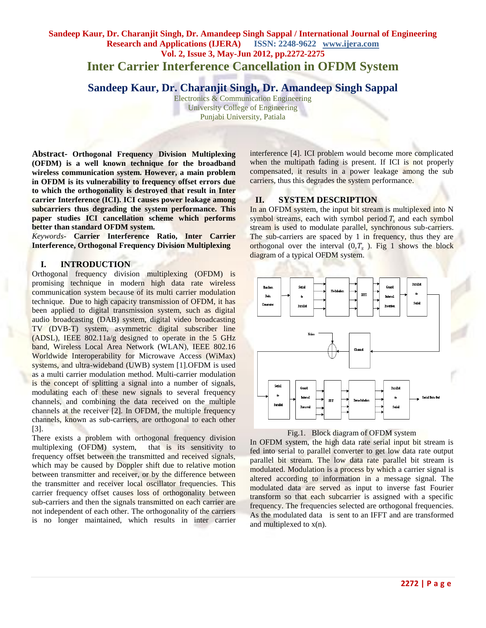# **Sandeep Kaur, Dr. Charanjit Singh, Dr. Amandeep Singh Sappal / International Journal of Engineering Research and Applications (IJERA) ISSN: 2248-9622 www.ijera.com Vol. 2, Issue 3, May-Jun 2012, pp.2272-2275 Inter Carrier Interference Cancellation in OFDM System**

# **Sandeep Kaur, Dr. Charanjit Singh, Dr. Amandeep Singh Sappal**

Electronics & Communication Engineering University College of Engineering Punjabi University, Patiala

**Abstract- Orthogonal Frequency Division Multiplexing (OFDM) is a well known technique for the broadband wireless communication system. However, a main problem in OFDM is its vulnerability to frequency offset errors due to which the orthogonality is destroyed that result in Inter carrier Interference (ICI). ICI causes power leakage among subcarriers thus degrading the system performance. This paper studies ICI cancellation scheme which performs better than standard OFDM system.** 

*Keywords*- **Carrier Interference Ratio, Inter Carrier Interference, Orthogonal Frequency Division Multiplexing**

### **I. INTRODUCTION**

Orthogonal frequency division multiplexing (OFDM) is promising technique in modern high data rate wireless communication system because of its multi carrier modulation technique. Due to high capacity transmission of OFDM, it has been applied to digital transmission system, such as digital audio broadcasting (DAB) system, digital video broadcasting TV (DVB-T) system, asymmetric digital subscriber line (ADSL), IEEE 802.11a/g designed to operate in the 5 GHz band, Wireless Local Area Network (WLAN), IEEE 802.16 Worldwide Interoperability for Microwave Access (WiMax) systems, and ultra-wideband (UWB) system [1].OFDM is used as a multi carrier modulation method. Multi-carrier modulation is the concept of splitting a signal into a number of signals, modulating each of these new signals to several frequency channels, and combining the data received on the multiple channels at the receiver [2]. In OFDM, the multiple frequency channels, known as sub-carriers, are orthogonal to each other [3].

There exists a problem with orthogonal frequency division multiplexing (OFDM) system, that is its sensitivity to frequency offset between the transmitted and received signals, which may be caused by Doppler shift due to relative motion between transmitter and receiver, or by the difference between the transmitter and receiver local oscillator frequencies. This carrier frequency offset causes loss of orthogonality between sub-carriers and then the signals transmitted on each carrier are not independent of each other. The orthogonality of the carriers is no longer maintained, which results in inter carrier

interference [4]. ICI problem would become more complicated when the multipath fading is present. If ICI is not properly compensated, it results in a power leakage among the sub carriers, thus this degrades the system performance.

# **II. SYSTEM DESCRIPTION**

In an OFDM system, the input bit stream is multiplexed into N symbol streams, each with symbol period  $T_s$  and each symbol stream is used to modulate parallel, synchronous sub-carriers. The sub-carriers are spaced by 1 in frequency, thus they are orthogonal over the interval  $(0, T_s)$ . Fig 1 shows the block diagram of a typical OFDM system.





In OFDM system, the high data rate serial input bit stream is fed into serial to parallel converter to get low data rate output parallel bit stream. The low data rate parallel bit stream is modulated. Modulation is a process by which a carrier signal is altered according to information in a message signal. The modulated data are served as input to inverse fast Fourier transform so that each subcarrier is assigned with a specific frequency. The frequencies selected are orthogonal frequencies. As the modulated data is sent to an IFFT and are transformed and multiplexed to x(n).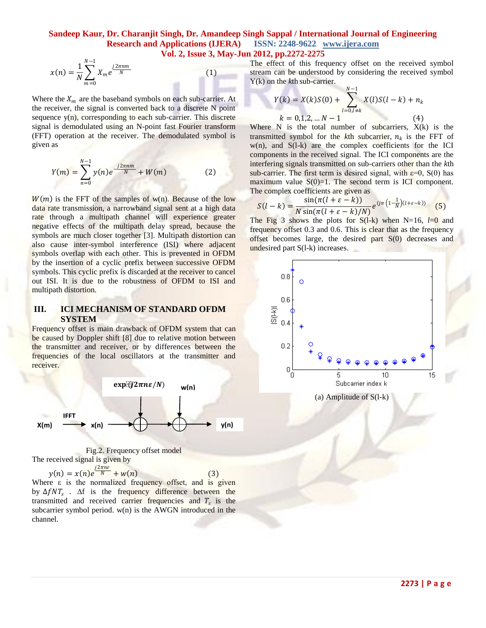## **Sandeep Kaur, Dr. Charanjit Singh, Dr. Amandeep Singh Sappal / International Journal of Engineering Research and Applications (IJERA) ISSN: 2248-9622 www.ijera.com Vol. 2, Issue 3, May-Jun 2012, pp.2272-2275**

$$
x(n) = \frac{1}{N} \sum_{m=0}^{N-1} X_m e^{\frac{j2\pi n m}{N}}
$$
 (1)

Where the  $X_m$  are the baseband symbols on each sub-carrier. At the receiver, the signal is converted back to a discrete N point sequence  $y(n)$ , corresponding to each sub-carrier. This discrete signal is demodulated using an N-point fast Fourier transform (FFT) operation at the receiver. The demodulated symbol is given as

$$
Y(m) = \sum_{n=0}^{N-1} y(n)e^{-j2\pi nm} + W(m)
$$
 (2)

 $W(m)$  is the FFT of the samples of w(n). Because of the low data rate transmission, a narrowband signal sent at a high data rate through a multipath channel will experience greater negative effects of the multipath delay spread, because the symbols are much closer together [3]. Multipath distortion can also cause inter-symbol interference (ISI) where adjacent symbols overlap with each other. This is prevented in OFDM by the insertion of a cyclic prefix between successive OFDM symbols. This cyclic prefix is discarded at the receiver to cancel out ISI. It is due to the robustness of OFDM to ISI and multipath distortion.

# **III. ICI MECHANISM OF STANDARD OFDM SYSTEM**

Frequency offset is main drawback of OFDM system that can be caused by Doppler shift [8] due to relative motion between the transmitter and receiver, or by differences between the frequencies of the local oscillators at the transmitter and receiver.



Fig.2. Frequency offset model The received signal is given by

 $y(n) = x(n)e^{\frac{j2\pi n\varepsilon}{N}} + w(n)$  (3)

Where  $\varepsilon$  is the normalized frequency offset, and is given by  $\Delta f N T_s$ .  $\Delta f$  is the frequency difference between the transmitted and received carrier frequencies and  $T_s$  is the subcarrier symbol period. w(n) is the AWGN introduced in the channel.

The effect of this frequency offset on the received symbol stream can be understood by considering the received symbol Y(k) on the *k*th sub-carrier.

$$
Y(k) = X(k)S(0) + \sum_{l=0, l \neq k}^{N-1} X(l)S(l-k) + n_k
$$
  
\n $k = 0,1,2,... N-1$  (4)  
\n $N = N$  is the number of subsemisym (4)

Where N is the total number of subcarriers,  $X(k)$  is the transmitted symbol for the  $k$ th subcarrier,  $n_k$  is the FFT of  $w(n)$ , and  $S(l-k)$  are the complex coefficients for the ICI components in the received signal. The ICI components are the interfering signals transmitted on sub-carriers other than the *k*th sub-carrier. The first term is desired signal, with  $\varepsilon=0$ , S(0) has maximum value  $S(0)=1$ . The second term is ICI component. The complex coefficients are given as

$$
S(l-k) = \frac{\sin(\pi(l+\varepsilon-k))}{N\sin(\pi(l+\varepsilon-k)/N)}e^{(j\pi\left(1-\frac{1}{N}\right)(l+\varepsilon-k))}
$$
(5)

The Fig 3 shows the plots for  $S(l-k)$  when N=16,  $l=0$  and frequency offset 0.3 and 0.6. This is clear that as the frequency offset becomes large, the desired part S(0) decreases and undesired part S(l-k) increases.

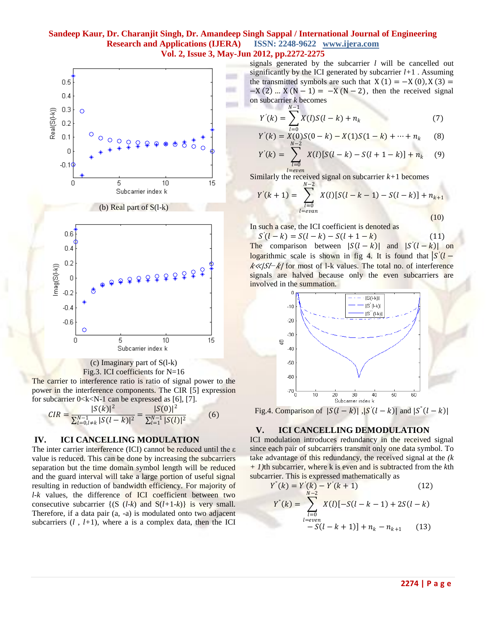# **Sandeep Kaur, Dr. Charanjit Singh, Dr. Amandeep Singh Sappal / International Journal of Engineering Research and Applications (IJERA) ISSN: 2248-9622 www.ijera.com Vol. 2, Issue 3, May-Jun 2012, pp.2272-2275**



#### (c) Imaginary part of S(l-k) Fig.3. ICI coefficients for N=16

The carrier to interference ratio is ratio of signal power to the power in the interference components. The CIR [5] expression for subcarrier  $0 < k < N-1$  can be expressed as [6], [7].

$$
CIR = \frac{|S(k)|^2}{\sum_{l=0,l\neq k}^{N-1} |S(l-k)|^2} = \frac{|S(0)|^2}{\sum_{l=1}^{N-1} |S(l)|^2}
$$
(6)

# **IV. ICI CANCELLING MODULATION**

The inter carrier interference (ICI) cannot be reduced until the ε value is reduced. This can be done by increasing the subcarriers separation but the time domain symbol length will be reduced and the guard interval will take a large portion of useful signal resulting in reduction of bandwidth efficiency. For majority of *l-k* values, the difference of ICI coefficient between two consecutive subcarrier  $\{(S \ (l-k) \ and \ S(l+1-k)\}\)$  is very small. Therefore, if a data pair (a, -a) is modulated onto two adjacent subcarriers  $(l, l+1)$ , where a is a complex data, then the ICI signals generated by the subcarrier *l* will be cancelled out significantly by the ICI generated by subcarrier *l+*1 . Assuming the transmitted symbols are such that  $X(1) = -X(0), X(3) =$  $-X(2)$  …  $X(N-1) = -X(N-2)$ , then the received signal on subcarrier *k* becomes  $N-1$ 

$$
Y'(k) = \sum_{l=0} X(l)S(l-k) + n_k
$$
 (7)

$$
Y'(k) = X(0)S(0-k) - X(1)S(1-k) + \dots + n_k \qquad (8)
$$

$$
Y'(k) = \sum_{\substack{l=0 \ l=even}} X(l) [S(l-k) - S(l+1-k)] + n_k \tag{9}
$$

Similarly the received signal on subcarrier *k+*1 becomes  $N-2$ 

$$
Y'(k+1) = \sum_{\substack{l=0 \ l \equiv even}}^{k} X(l)[S(l-k-1) - S(l-k)] + n_{k+1}
$$
\n(10)

In such a case, the ICI coefficient is denoted as

 $S'(l-k) = S(l-k) - S(l+1-k)$  (11) The comparison between  $|S(l-k)|$  and  $|S'(l-k)|$  on *logarithmic scale is shown in fig 4. It is found that*  $\frac{|S'(l - p)|}{|S(l - p)|}$ *k*<sup>≪</sup>/ $S/- k$ / for most of 1-k values. The total no. of interference signals are halved because only the even subcarriers are involved in the summation.



Fig.4. Comparison of  $|S(l-k)|$ ,  $|S'(l-k)|$  and  $|S''(l-k)|$ 

### **V. ICI CANCELLING DEMODULATION**

ICI modulation introduces redundancy in the received signal since each pair of subcarriers transmit only one data symbol. To take advantage of this redundancy, the received signal at the *(k + 1)*th subcarrier, where k is even and is subtracted from the *k*th subcarrier. This is expressed mathematically as

$$
Y^{"}(k) = Y^{'}(k) - Y^{'}(k+1)
$$
\n
$$
Y^{"}(k) = \sum_{\substack{l=0 \ l=even}}^{N-2} X(l)[-S(l-k-1) + 2S(l-k)]
$$
\n(12)\n(12)\n(13)